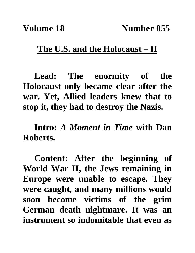## **The U.S. and the Holocaust – II**

**Lead: The enormity of the Holocaust only became clear after the war. Yet, Allied leaders knew that to stop it, they had to destroy the Nazis.**

**Intro:** *A Moment in Time* **with Dan Roberts.**

**Content: After the beginning of World War II, the Jews remaining in Europe were unable to escape. They were caught, and many millions would soon become victims of the grim German death nightmare. It was an instrument so indomitable that even as**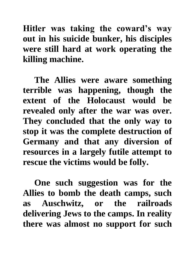**Hitler was taking the coward's way out in his suicide bunker, his disciples were still hard at work operating the killing machine.** 

**The Allies were aware something terrible was happening, though the extent of the Holocaust would be revealed only after the war was over. They concluded that the only way to stop it was the complete destruction of Germany and that any diversion of resources in a largely futile attempt to rescue the victims would be folly.** 

**One such suggestion was for the Allies to bomb the death camps, such as Auschwitz, or the railroads delivering Jews to the camps. In reality there was almost no support for such**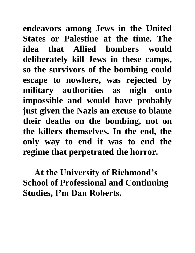**endeavors among Jews in the United States or Palestine at the time. The idea that Allied bombers would deliberately kill Jews in these camps, so the survivors of the bombing could escape to nowhere, was rejected by military authorities as nigh onto impossible and would have probably just given the Nazis an excuse to blame their deaths on the bombing, not on the killers themselves. In the end, the only way to end it was to end the regime that perpetrated the horror.** 

**At the University of Richmond's School of Professional and Continuing Studies, I'm Dan Roberts.**